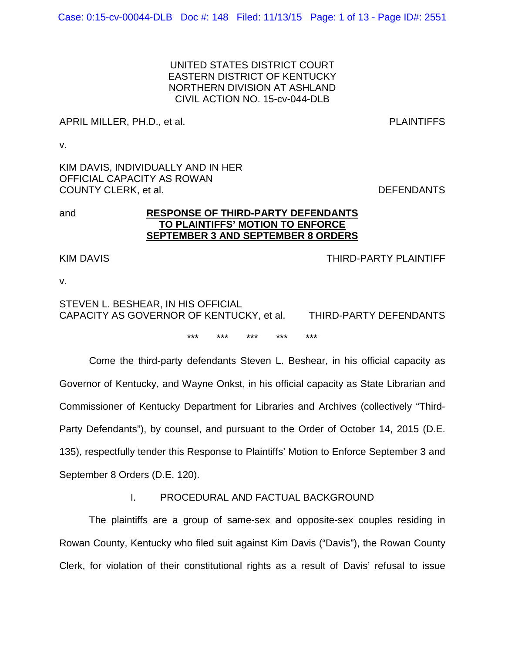UNITED STATES DISTRICT COURT EASTERN DISTRICT OF KENTUCKY NORTHERN DIVISION AT ASHLAND CIVIL ACTION NO. 15-cv-044-DLB

APRIL MILLER, PH.D., et al. PLAINTIFFS

v.

KIM DAVIS, INDIVIDUALLY AND IN HER OFFICIAL CAPACITY AS ROWAN COUNTY CLERK, et al.  $DEFENDANTS$ 

## and **RESPONSE OF THIRD-PARTY DEFENDANTS TO PLAINTIFFS' MOTION TO ENFORCE SEPTEMBER 3 AND SEPTEMBER 8 ORDERS**

KIM DAVIS THIRD-PARTY PLAINTIFF

v.

# STEVEN L. BESHEAR, IN HIS OFFICIAL CAPACITY AS GOVERNOR OF KENTUCKY, et al. THIRD-PARTY DEFENDANTS

\*\*\* \*\*\* \*\*\* \*\*\* \*\*\*

Come the third-party defendants Steven L. Beshear, in his official capacity as Governor of Kentucky, and Wayne Onkst, in his official capacity as State Librarian and Commissioner of Kentucky Department for Libraries and Archives (collectively "Third-Party Defendants"), by counsel, and pursuant to the Order of October 14, 2015 (D.E. 135), respectfully tender this Response to Plaintiffs' Motion to Enforce September 3 and September 8 Orders (D.E. 120).

## I. PROCEDURAL AND FACTUAL BACKGROUND

The plaintiffs are a group of same-sex and opposite-sex couples residing in Rowan County, Kentucky who filed suit against Kim Davis ("Davis"), the Rowan County Clerk, for violation of their constitutional rights as a result of Davis' refusal to issue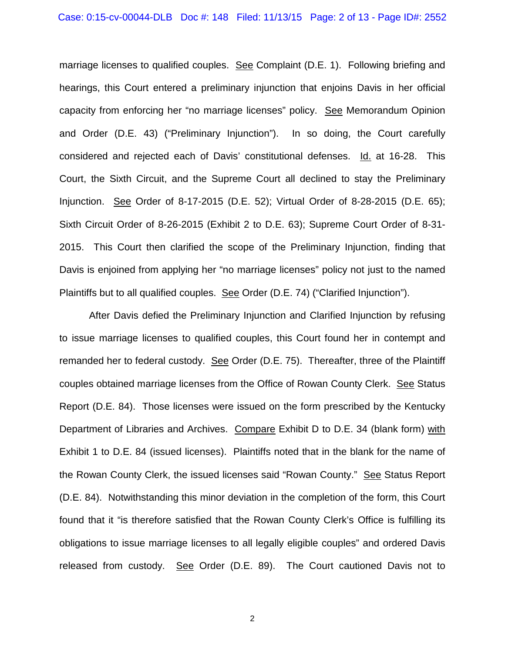marriage licenses to qualified couples. See Complaint (D.E. 1). Following briefing and hearings, this Court entered a preliminary injunction that enjoins Davis in her official capacity from enforcing her "no marriage licenses" policy. See Memorandum Opinion and Order (D.E. 43) ("Preliminary Injunction"). In so doing, the Court carefully considered and rejected each of Davis' constitutional defenses. Id. at 16-28. This Court, the Sixth Circuit, and the Supreme Court all declined to stay the Preliminary Injunction. See Order of 8-17-2015 (D.E. 52); Virtual Order of 8-28-2015 (D.E. 65); Sixth Circuit Order of 8-26-2015 (Exhibit 2 to D.E. 63); Supreme Court Order of 8-31- 2015. This Court then clarified the scope of the Preliminary Injunction, finding that Davis is enjoined from applying her "no marriage licenses" policy not just to the named Plaintiffs but to all qualified couples. See Order (D.E. 74) ("Clarified Injunction").

After Davis defied the Preliminary Injunction and Clarified Injunction by refusing to issue marriage licenses to qualified couples, this Court found her in contempt and remanded her to federal custody. See Order (D.E. 75). Thereafter, three of the Plaintiff couples obtained marriage licenses from the Office of Rowan County Clerk. See Status Report (D.E. 84). Those licenses were issued on the form prescribed by the Kentucky Department of Libraries and Archives. Compare Exhibit D to D.E. 34 (blank form) with Exhibit 1 to D.E. 84 (issued licenses). Plaintiffs noted that in the blank for the name of the Rowan County Clerk, the issued licenses said "Rowan County." See Status Report (D.E. 84). Notwithstanding this minor deviation in the completion of the form, this Court found that it "is therefore satisfied that the Rowan County Clerk's Office is fulfilling its obligations to issue marriage licenses to all legally eligible couples" and ordered Davis released from custody. See Order (D.E. 89). The Court cautioned Davis not to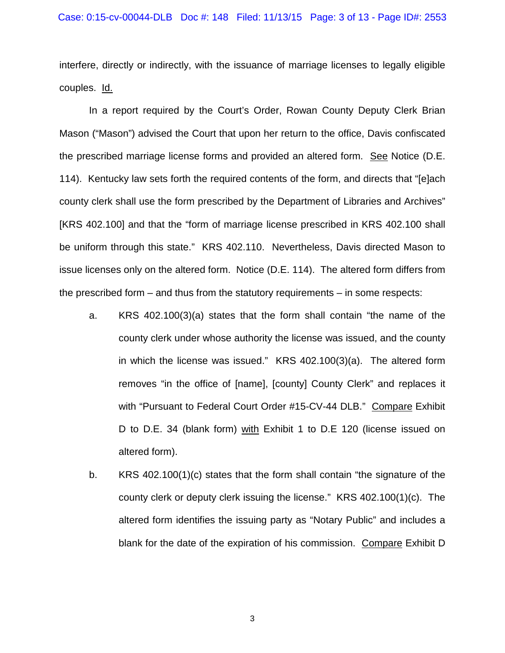interfere, directly or indirectly, with the issuance of marriage licenses to legally eligible couples. Id.

In a report required by the Court's Order, Rowan County Deputy Clerk Brian Mason ("Mason") advised the Court that upon her return to the office, Davis confiscated the prescribed marriage license forms and provided an altered form. See Notice (D.E. 114). Kentucky law sets forth the required contents of the form, and directs that "[e]ach county clerk shall use the form prescribed by the Department of Libraries and Archives" [KRS 402.100] and that the "form of marriage license prescribed in KRS 402.100 shall be uniform through this state." KRS 402.110. Nevertheless, Davis directed Mason to issue licenses only on the altered form. Notice (D.E. 114). The altered form differs from the prescribed form – and thus from the statutory requirements – in some respects:

- a. KRS 402.100(3)(a) states that the form shall contain "the name of the county clerk under whose authority the license was issued, and the county in which the license was issued." KRS 402.100(3)(a). The altered form removes "in the office of [name], [county] County Clerk" and replaces it with "Pursuant to Federal Court Order #15-CV-44 DLB." Compare Exhibit D to D.E. 34 (blank form) with Exhibit 1 to D.E 120 (license issued on altered form).
- b. KRS 402.100(1)(c) states that the form shall contain "the signature of the county clerk or deputy clerk issuing the license." KRS 402.100(1)(c). The altered form identifies the issuing party as "Notary Public" and includes a blank for the date of the expiration of his commission. Compare Exhibit D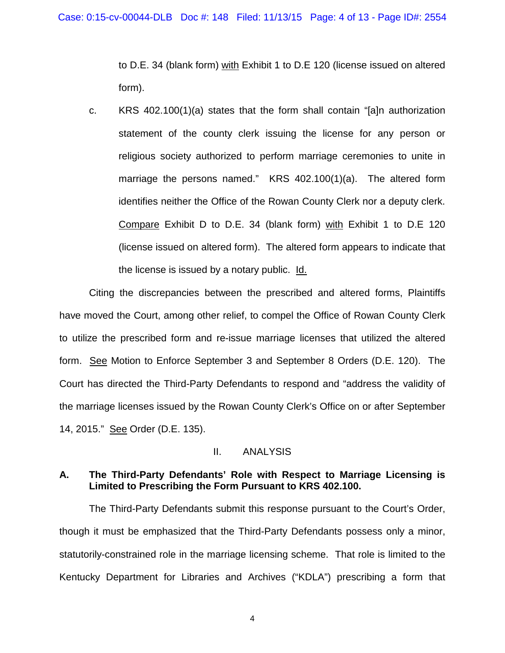to D.E. 34 (blank form) with Exhibit 1 to D.E 120 (license issued on altered form).

c. KRS 402.100(1)(a) states that the form shall contain "[a]n authorization statement of the county clerk issuing the license for any person or religious society authorized to perform marriage ceremonies to unite in marriage the persons named." KRS 402.100(1)(a). The altered form identifies neither the Office of the Rowan County Clerk nor a deputy clerk. Compare Exhibit D to D.E. 34 (blank form) with Exhibit 1 to D.E 120 (license issued on altered form). The altered form appears to indicate that the license is issued by a notary public. Id.

Citing the discrepancies between the prescribed and altered forms, Plaintiffs have moved the Court, among other relief, to compel the Office of Rowan County Clerk to utilize the prescribed form and re-issue marriage licenses that utilized the altered form. See Motion to Enforce September 3 and September 8 Orders (D.E. 120). The Court has directed the Third-Party Defendants to respond and "address the validity of the marriage licenses issued by the Rowan County Clerk's Office on or after September 14, 2015." See Order (D.E. 135).

#### II. ANALYSIS

## **A. The Third-Party Defendants' Role with Respect to Marriage Licensing is Limited to Prescribing the Form Pursuant to KRS 402.100.**

The Third-Party Defendants submit this response pursuant to the Court's Order, though it must be emphasized that the Third-Party Defendants possess only a minor, statutorily-constrained role in the marriage licensing scheme. That role is limited to the Kentucky Department for Libraries and Archives ("KDLA") prescribing a form that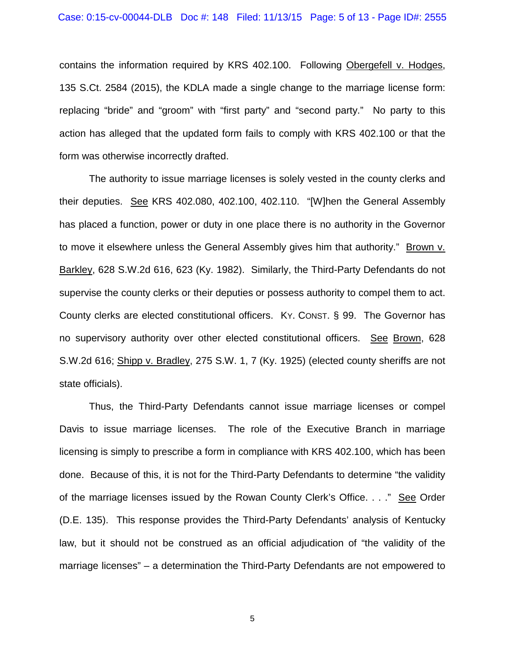contains the information required by KRS 402.100. Following Obergefell v. Hodges, 135 S.Ct. 2584 (2015), the KDLA made a single change to the marriage license form: replacing "bride" and "groom" with "first party" and "second party." No party to this action has alleged that the updated form fails to comply with KRS 402.100 or that the form was otherwise incorrectly drafted.

The authority to issue marriage licenses is solely vested in the county clerks and their deputies. See KRS 402.080, 402.100, 402.110. "[W]hen the General Assembly has placed a function, power or duty in one place there is no authority in the Governor to move it elsewhere unless the General Assembly gives him that authority." Brown v. Barkley, 628 S.W.2d 616, 623 (Ky. 1982). Similarly, the Third-Party Defendants do not supervise the county clerks or their deputies or possess authority to compel them to act. County clerks are elected constitutional officers. KY. CONST. § 99. The Governor has no supervisory authority over other elected constitutional officers. See Brown, 628 S.W.2d 616; Shipp v. Bradley, 275 S.W. 1, 7 (Ky. 1925) (elected county sheriffs are not state officials).

Thus, the Third-Party Defendants cannot issue marriage licenses or compel Davis to issue marriage licenses. The role of the Executive Branch in marriage licensing is simply to prescribe a form in compliance with KRS 402.100, which has been done. Because of this, it is not for the Third-Party Defendants to determine "the validity of the marriage licenses issued by the Rowan County Clerk's Office. . . ." See Order (D.E. 135). This response provides the Third-Party Defendants' analysis of Kentucky law, but it should not be construed as an official adjudication of "the validity of the marriage licenses" – a determination the Third-Party Defendants are not empowered to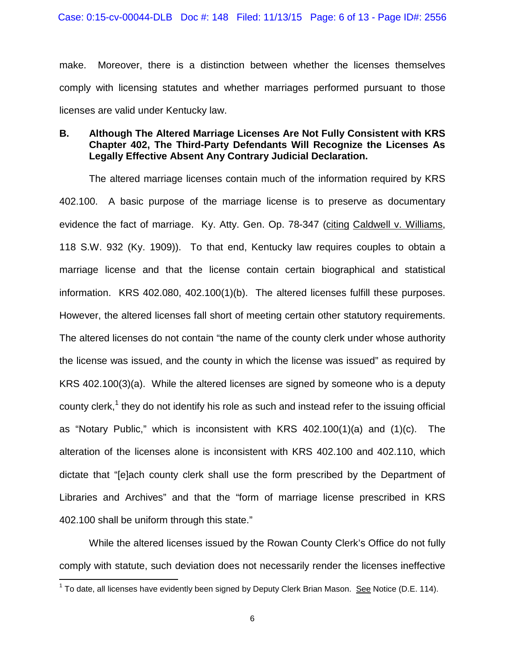make. Moreover, there is a distinction between whether the licenses themselves comply with licensing statutes and whether marriages performed pursuant to those licenses are valid under Kentucky law.

## **B. Although The Altered Marriage Licenses Are Not Fully Consistent with KRS Chapter 402, The Third-Party Defendants Will Recognize the Licenses As Legally Effective Absent Any Contrary Judicial Declaration.**

The altered marriage licenses contain much of the information required by KRS 402.100. A basic purpose of the marriage license is to preserve as documentary evidence the fact of marriage. Ky. Atty. Gen. Op. 78-347 (citing Caldwell v. Williams, 118 S.W. 932 (Ky. 1909)). To that end, Kentucky law requires couples to obtain a marriage license and that the license contain certain biographical and statistical information. KRS 402.080, 402.100(1)(b). The altered licenses fulfill these purposes. However, the altered licenses fall short of meeting certain other statutory requirements. The altered licenses do not contain "the name of the county clerk under whose authority the license was issued, and the county in which the license was issued" as required by KRS 402.100(3)(a). While the altered licenses are signed by someone who is a deputy county clerk,<sup>1</sup> they do not identify his role as such and instead refer to the issuing official as "Notary Public," which is inconsistent with KRS 402.100(1)(a) and (1)(c). The alteration of the licenses alone is inconsistent with KRS 402.100 and 402.110, which dictate that "[e]ach county clerk shall use the form prescribed by the Department of Libraries and Archives" and that the "form of marriage license prescribed in KRS 402.100 shall be uniform through this state."

While the altered licenses issued by the Rowan County Clerk's Office do not fully comply with statute, such deviation does not necessarily render the licenses ineffective

<sup>&</sup>lt;sup>1</sup> To date, all licenses have evidently been signed by Deputy Clerk Brian Mason. See Notice (D.E. 114).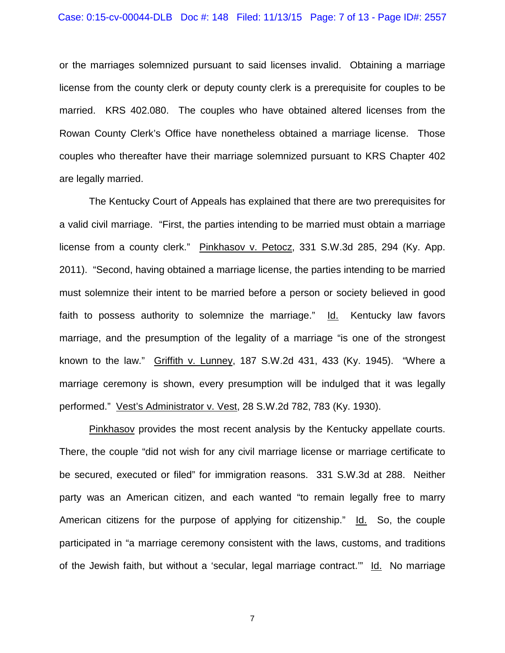or the marriages solemnized pursuant to said licenses invalid. Obtaining a marriage license from the county clerk or deputy county clerk is a prerequisite for couples to be married. KRS 402.080. The couples who have obtained altered licenses from the Rowan County Clerk's Office have nonetheless obtained a marriage license. Those couples who thereafter have their marriage solemnized pursuant to KRS Chapter 402 are legally married.

The Kentucky Court of Appeals has explained that there are two prerequisites for a valid civil marriage. "First, the parties intending to be married must obtain a marriage license from a county clerk." Pinkhasov v. Petocz, 331 S.W.3d 285, 294 (Ky. App. 2011). "Second, having obtained a marriage license, the parties intending to be married must solemnize their intent to be married before a person or society believed in good faith to possess authority to solemnize the marriage." Id. Kentucky law favors marriage, and the presumption of the legality of a marriage "is one of the strongest known to the law." Griffith v. Lunney, 187 S.W.2d 431, 433 (Ky. 1945). "Where a marriage ceremony is shown, every presumption will be indulged that it was legally performed." Vest's Administrator v. Vest, 28 S.W.2d 782, 783 (Ky. 1930).

Pinkhasov provides the most recent analysis by the Kentucky appellate courts. There, the couple "did not wish for any civil marriage license or marriage certificate to be secured, executed or filed" for immigration reasons. 331 S.W.3d at 288. Neither party was an American citizen, and each wanted "to remain legally free to marry American citizens for the purpose of applying for citizenship." Id. So, the couple participated in "a marriage ceremony consistent with the laws, customs, and traditions of the Jewish faith, but without a 'secular, legal marriage contract.'" Id. No marriage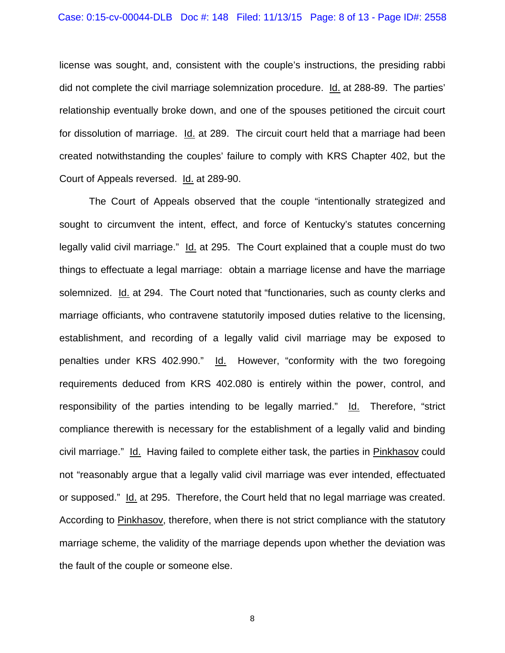license was sought, and, consistent with the couple's instructions, the presiding rabbi did not complete the civil marriage solemnization procedure. Id. at 288-89. The parties' relationship eventually broke down, and one of the spouses petitioned the circuit court for dissolution of marriage. Id. at 289. The circuit court held that a marriage had been created notwithstanding the couples' failure to comply with KRS Chapter 402, but the Court of Appeals reversed. Id. at 289-90.

The Court of Appeals observed that the couple "intentionally strategized and sought to circumvent the intent, effect, and force of Kentucky's statutes concerning legally valid civil marriage." Id. at 295. The Court explained that a couple must do two things to effectuate a legal marriage: obtain a marriage license and have the marriage solemnized. Id. at 294. The Court noted that "functionaries, such as county clerks and marriage officiants, who contravene statutorily imposed duties relative to the licensing, establishment, and recording of a legally valid civil marriage may be exposed to penalties under KRS 402.990." Id. However, "conformity with the two foregoing requirements deduced from KRS 402.080 is entirely within the power, control, and responsibility of the parties intending to be legally married." Id. Therefore, "strict compliance therewith is necessary for the establishment of a legally valid and binding civil marriage." Id. Having failed to complete either task, the parties in Pinkhasov could not "reasonably argue that a legally valid civil marriage was ever intended, effectuated or supposed." Id. at 295. Therefore, the Court held that no legal marriage was created. According to Pinkhasov, therefore, when there is not strict compliance with the statutory marriage scheme, the validity of the marriage depends upon whether the deviation was the fault of the couple or someone else.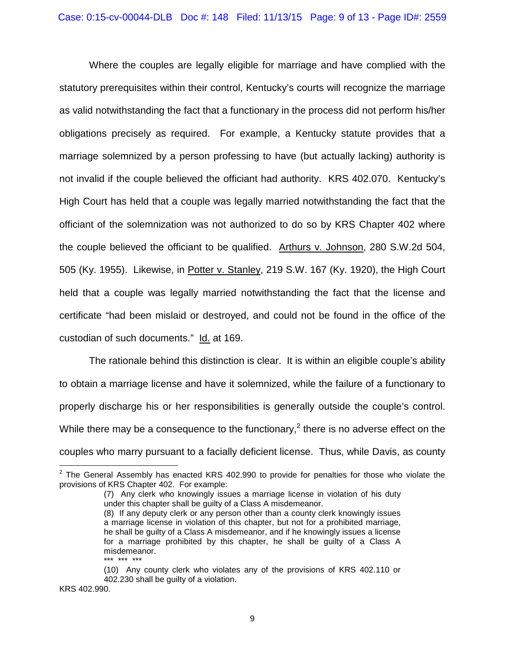Where the couples are legally eligible for marriage and have complied with the statutory prerequisites within their control, Kentucky's courts will recognize the marriage as valid notwithstanding the fact that a functionary in the process did not perform his/her obligations precisely as required. For example, a Kentucky statute provides that a marriage solemnized by a person professing to have (but actually lacking) authority is not invalid if the couple believed the officiant had authority. KRS 402.070. Kentucky's High Court has held that a couple was legally married notwithstanding the fact that the officiant of the solemnization was not authorized to do so by KRS Chapter 402 where the couple believed the officiant to be qualified. Arthurs v. Johnson, 280 S.W.2d 504, 505 (Ky. 1955). Likewise, in Potter v. Stanley, 219 S.W. 167 (Ky. 1920), the High Court held that a couple was legally married notwithstanding the fact that the license and certificate "had been mislaid or destroyed, and could not be found in the office of the custodian of such documents." Id. at 169.

The rationale behind this distinction is clear. It is within an eligible couple's ability to obtain a marriage license and have it solemnized, while the failure of a functionary to properly discharge his or her responsibilities is generally outside the couple's control. While there may be a consequence to the functionary,<sup>2</sup> there is no adverse effect on the couples who marry pursuant to a facially deficient license. Thus, while Davis, as county

KRS 402.990.

 $2$  The General Assembly has enacted KRS 402.990 to provide for penalties for those who violate the provisions of KRS Chapter 402. For example:

<sup>(7)</sup> Any clerk who knowingly issues a marriage license in violation of his duty under this chapter shall be guilty of a Class A misdemeanor.

<sup>(8)</sup> If any deputy clerk or any person other than a county clerk knowingly issues a marriage license in violation of this chapter, but not for a prohibited marriage, he shall be guilty of a Class A misdemeanor, and if he knowingly issues a license for a marriage prohibited by this chapter, he shall be guilty of a Class A misdemeanor. \*\*\* \*\*\* \*\*\*

<sup>(10)</sup> Any county clerk who violates any of the provisions of KRS 402.110 or 402.230 shall be guilty of a violation.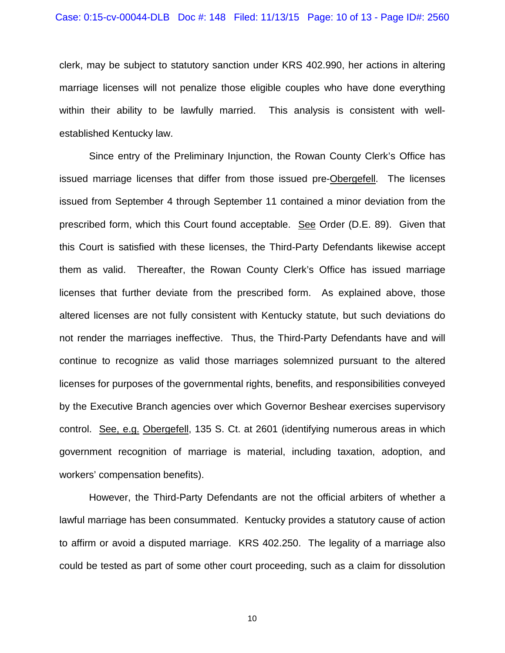clerk, may be subject to statutory sanction under KRS 402.990, her actions in altering marriage licenses will not penalize those eligible couples who have done everything within their ability to be lawfully married. This analysis is consistent with wellestablished Kentucky law.

Since entry of the Preliminary Injunction, the Rowan County Clerk's Office has issued marriage licenses that differ from those issued pre-Obergefell. The licenses issued from September 4 through September 11 contained a minor deviation from the prescribed form, which this Court found acceptable. See Order (D.E. 89). Given that this Court is satisfied with these licenses, the Third-Party Defendants likewise accept them as valid. Thereafter, the Rowan County Clerk's Office has issued marriage licenses that further deviate from the prescribed form. As explained above, those altered licenses are not fully consistent with Kentucky statute, but such deviations do not render the marriages ineffective. Thus, the Third-Party Defendants have and will continue to recognize as valid those marriages solemnized pursuant to the altered licenses for purposes of the governmental rights, benefits, and responsibilities conveyed by the Executive Branch agencies over which Governor Beshear exercises supervisory control. See, e.g. Obergefell, 135 S. Ct. at 2601 (identifying numerous areas in which government recognition of marriage is material, including taxation, adoption, and workers' compensation benefits).

However, the Third-Party Defendants are not the official arbiters of whether a lawful marriage has been consummated. Kentucky provides a statutory cause of action to affirm or avoid a disputed marriage. KRS 402.250. The legality of a marriage also could be tested as part of some other court proceeding, such as a claim for dissolution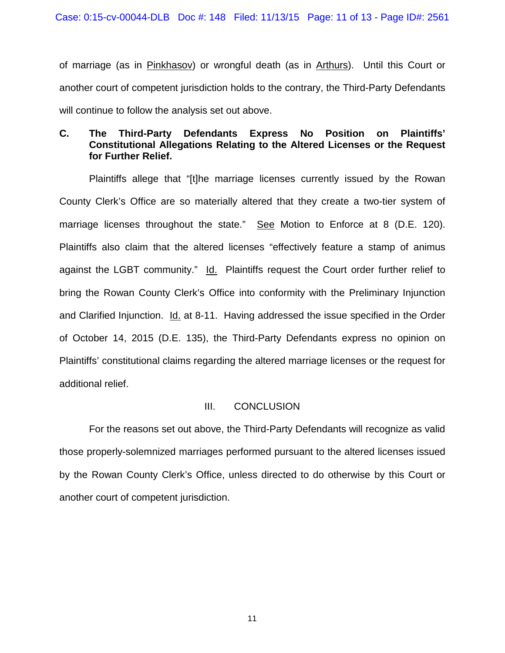of marriage (as in Pinkhasov) or wrongful death (as in Arthurs). Until this Court or another court of competent jurisdiction holds to the contrary, the Third-Party Defendants will continue to follow the analysis set out above.

## **C. The Third-Party Defendants Express No Position on Plaintiffs' Constitutional Allegations Relating to the Altered Licenses or the Request for Further Relief.**

Plaintiffs allege that "[t]he marriage licenses currently issued by the Rowan County Clerk's Office are so materially altered that they create a two-tier system of marriage licenses throughout the state." See Motion to Enforce at 8 (D.E. 120). Plaintiffs also claim that the altered licenses "effectively feature a stamp of animus against the LGBT community." Id. Plaintiffs request the Court order further relief to bring the Rowan County Clerk's Office into conformity with the Preliminary Injunction and Clarified Injunction. Id. at 8-11. Having addressed the issue specified in the Order of October 14, 2015 (D.E. 135), the Third-Party Defendants express no opinion on Plaintiffs' constitutional claims regarding the altered marriage licenses or the request for additional relief.

## III. CONCLUSION

For the reasons set out above, the Third-Party Defendants will recognize as valid those properly-solemnized marriages performed pursuant to the altered licenses issued by the Rowan County Clerk's Office, unless directed to do otherwise by this Court or another court of competent jurisdiction.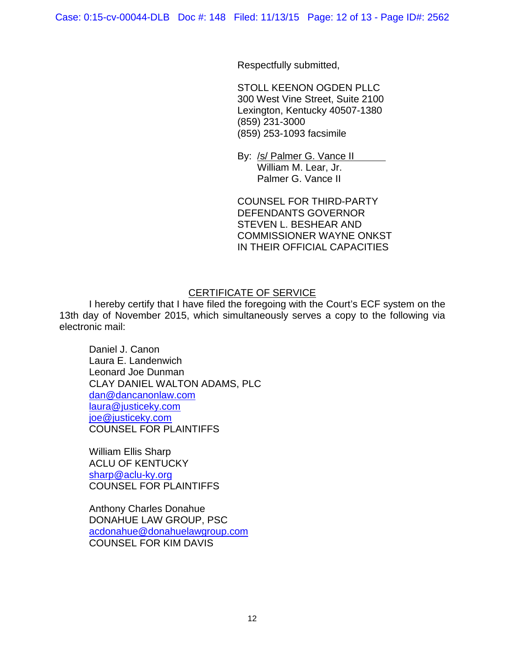Respectfully submitted,

STOLL KEENON OGDEN PLLC 300 West Vine Street, Suite 2100 Lexington, Kentucky 40507-1380 (859) 231-3000 (859) 253-1093 facsimile

By: /s/ Palmer G. Vance II William M. Lear, Jr. Palmer G. Vance II

COUNSEL FOR THIRD-PARTY DEFENDANTS GOVERNOR STEVEN L. BESHEAR AND COMMISSIONER WAYNE ONKST IN THEIR OFFICIAL CAPACITIES

## CERTIFICATE OF SERVICE

I hereby certify that I have filed the foregoing with the Court's ECF system on the 13th day of November 2015, which simultaneously serves a copy to the following via electronic mail:

Daniel J. Canon Laura E. Landenwich Leonard Joe Dunman CLAY DANIEL WALTON ADAMS, PLC dan@dancanonlaw.com laura@justiceky.com joe@justiceky.com COUNSEL FOR PLAINTIFFS

William Ellis Sharp ACLU OF KENTUCKY sharp@aclu-ky.org COUNSEL FOR PLAINTIFFS

Anthony Charles Donahue DONAHUE LAW GROUP, PSC acdonahue@donahuelawgroup.com COUNSEL FOR KIM DAVIS